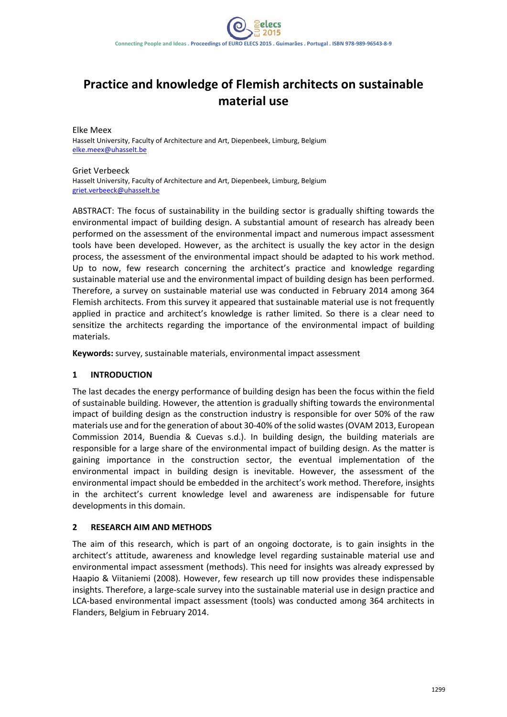## **Practice and knowledge of Flemish architects on sustainable material use**

Elke Meex Hasselt University, Faculty of Architecture and Art, Diepenbeek, Limburg, Belgium elke.meex@uhasselt.be

Griet Verbeeck

Hasselt University, Faculty of Architecture and Art, Diepenbeek, Limburg, Belgium griet.verbeeck@uhasselt.be

ABSTRACT: The focus of sustainability in the building sector is gradually shifting towards the environmental impact of building design. A substantial amount of research has already been performed on the assessment of the environmental impact and numerous impact assessment tools have been developed. However, as the architect is usually the key actor in the design process, the assessment of the environmental impact should be adapted to his work method. Up to now, few research concerning the architect's practice and knowledge regarding sustainable material use and the environmental impact of building design has been performed. Therefore, a survey on sustainable material use was conducted in February 2014 among 364 Flemish architects. From this survey it appeared that sustainable material use is not frequently applied in practice and architect's knowledge is rather limited. So there is a clear need to sensitize the architects regarding the importance of the environmental impact of building materials.

**Keywords:** survey, sustainable materials, environmental impact assessment

### **1 INTRODUCTION**

The last decades the energy performance of building design has been the focus within the field of sustainable building. However, the attention is gradually shifting towards the environmental impact of building design as the construction industry is responsible for over 50% of the raw materials use and for the generation of about 30‐40% of the solid wastes(OVAM 2013, European Commission 2014, Buendia & Cuevas s.d.). In building design, the building materials are responsible for a large share of the environmental impact of building design. As the matter is gaining importance in the construction sector, the eventual implementation of the environmental impact in building design is inevitable. However, the assessment of the environmental impact should be embedded in the architect's work method. Therefore, insights in the architect's current knowledge level and awareness are indispensable for future developments in this domain.

### **2 RESEARCH AIM AND METHODS**

The aim of this research, which is part of an ongoing doctorate, is to gain insights in the architect's attitude, awareness and knowledge level regarding sustainable material use and environmental impact assessment (methods). This need for insights was already expressed by Haapio & Viitaniemi (2008). However, few research up till now provides these indispensable insights. Therefore, a large‐scale survey into the sustainable material use in design practice and LCA‐based environmental impact assessment (tools) was conducted among 364 architects in Flanders, Belgium in February 2014.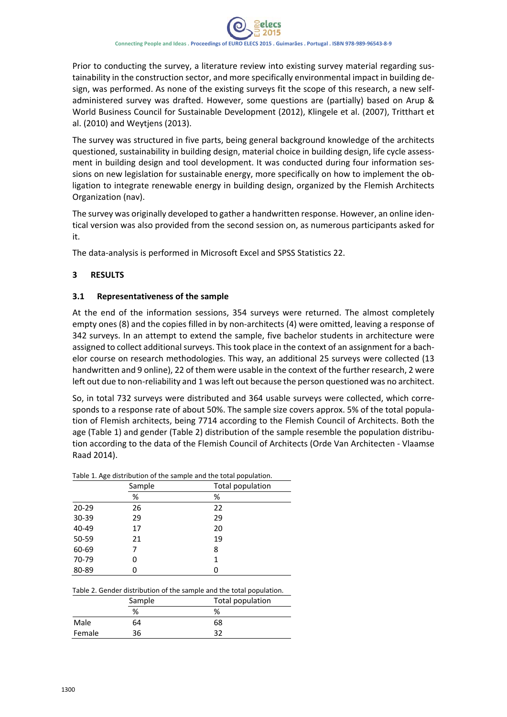Prior to conducting the survey, a literature review into existing survey material regarding sus‐ tainability in the construction sector, and more specifically environmental impact in building de‐ sign, was performed. As none of the existing surveys fit the scope of this research, a new selfadministered survey was drafted. However, some questions are (partially) based on Arup & World Business Council for Sustainable Development (2012), Klingele et al. (2007), Tritthart et al. (2010) and Weytjens (2013).

The survey was structured in five parts, being general background knowledge of the architects questioned, sustainability in building design, material choice in building design, life cycle assessment in building design and tool development. It was conducted during four information ses‐ sions on new legislation for sustainable energy, more specifically on how to implement the obligation to integrate renewable energy in building design, organized by the Flemish Architects Organization (nav).

The survey was originally developed to gather a handwritten response. However, an online iden‐ tical version was also provided from the second session on, as numerous participants asked for it.

The data‐analysis is performed in Microsoft Excel and SPSS Statistics 22.

### **3 RESULTS**

### **3.1 Representativeness of the sample**

At the end of the information sessions, 354 surveys were returned. The almost completely empty ones (8) and the copies filled in by non-architects (4) were omitted, leaving a response of 342 surveys. In an attempt to extend the sample, five bachelor students in architecture were assigned to collect additional surveys. This took place in the context of an assignment for a bachelor course on research methodologies. This way, an additional 25 surveys were collected (13 handwritten and 9 online), 22 of them were usable in the context of the further research, 2 were left out due to non-reliability and 1 was left out because the person questioned was no architect.

So, in total 732 surveys were distributed and 364 usable surveys were collected, which corre‐ sponds to a response rate of about 50%. The sample size covers approx. 5% of the total population of Flemish architects, being 7714 according to the Flemish Council of Architects. Both the age (Table 1) and gender (Table 2) distribution of the sample resemble the population distribution according to the data of the Flemish Council of Architects (Orde Van Architecten ‐ Vlaamse Raad 2014).

| Table 1. Age distribution of the sample and the total population. |        |                  |
|-------------------------------------------------------------------|--------|------------------|
|                                                                   | Sample | Total population |
|                                                                   | %      | %                |
| $20 - 29$                                                         | 26     | 22               |
| $30 - 39$                                                         | 29     | 29               |
| 40-49                                                             | 17     | 20               |
| 50-59                                                             | 21     | 19               |
| 60-69                                                             |        | 8                |
| 70-79                                                             |        | 1                |
| 80-89                                                             |        | 0                |

Table 2. Gender distribution of the sample and the total population.

|        | Sample<br>% | Total population<br>% |
|--------|-------------|-----------------------|
|        |             |                       |
| Male   | 64          | 68                    |
| Female | 36          | 32                    |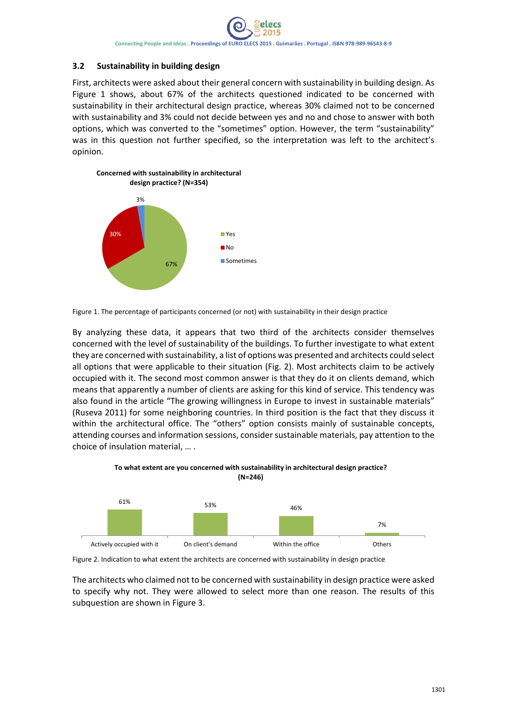Connecting People and Ideas . Proceedings of EURO ELECS 2015 . Guimarães . Portugal . ISBN 978-989-96543-8-9

### **3.2 Sustainability in building design**

First, architects were asked about their general concern with sustainability in building design. As Figure 1 shows, about 67% of the architects questioned indicated to be concerned with sustainability in their architectural design practice, whereas 30% claimed not to be concerned with sustainability and 3% could not decide between yes and no and chose to answer with both options, which was converted to the "sometimes" option. However, the term "sustainability" was in this question not further specified, so the interpretation was left to the architect's opinion.



Figure 1. The percentage of participants concerned (or not) with sustainability in their design practice

By analyzing these data, it appears that two third of the architects consider themselves concerned with the level of sustainability of the buildings. To further investigate to what extent they are concerned with sustainability, a list of options was presented and architects could select all options that were applicable to their situation (Fig. 2). Most architects claim to be actively occupied with it. The second most common answer is that they do it on clients demand, which means that apparently a number of clients are asking for this kind of service. This tendency was also found in the article "The growing willingness in Europe to invest in sustainable materials" (Ruseva 2011) for some neighboring countries. In third position is the fact that they discuss it within the architectural office. The "others" option consists mainly of sustainable concepts, attending courses and information sessions, consider sustainable materials, pay attention to the choice of insulation material, … .



**To what extent are you concerned with sustainability in architectural design practice?**

Figure 2. Indication to what extent the architects are concerned with sustainability in design practice

The architects who claimed not to be concerned with sustainability in design practice were asked to specify why not. They were allowed to select more than one reason. The results of this subquestion are shown in Figure 3.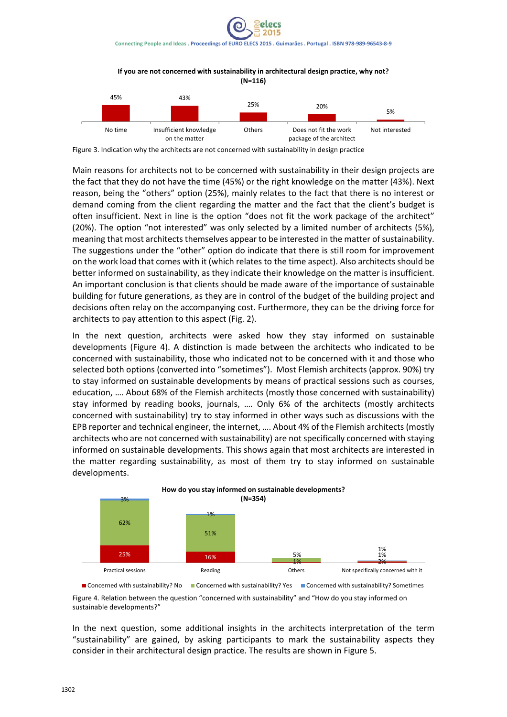# Connecting People and Ideas . Proceedings of EURO ELECS 2015 . Guimarães . Portugal . ISBN 978-989-96543-8-9

**If you are not concerned with sustainability in architectural design practice, why not?**



Figure 3. Indication why the architects are not concerned with sustainability in design practice

Main reasons for architects not to be concerned with sustainability in their design projects are the fact that they do not have the time (45%) or the right knowledge on the matter (43%). Next reason, being the "others" option (25%), mainly relates to the fact that there is no interest or demand coming from the client regarding the matter and the fact that the client's budget is often insufficient. Next in line is the option "does not fit the work package of the architect" (20%). The option "not interested" was only selected by a limited number of architects (5%), meaning that most architects themselves appear to be interested in the matter of sustainability. The suggestions under the "other" option do indicate that there is still room for improvement on the work load that comes with it (which relates to the time aspect). Also architects should be better informed on sustainability, as they indicate their knowledge on the matter is insufficient. An important conclusion is that clients should be made aware of the importance of sustainable building for future generations, as they are in control of the budget of the building project and decisions often relay on the accompanying cost. Furthermore, they can be the driving force for architects to pay attention to this aspect (Fig. 2).

In the next question, architects were asked how they stay informed on sustainable developments (Figure 4). A distinction is made between the architects who indicated to be concerned with sustainability, those who indicated not to be concerned with it and those who selected both options (converted into "sometimes"). Most Flemish architects (approx. 90%) try to stay informed on sustainable developments by means of practical sessions such as courses, education, …. About 68% of the Flemish architects (mostly those concerned with sustainability) stay informed by reading books, journals, …. Only 6% of the architects (mostly architects concerned with sustainability) try to stay informed in other ways such as discussions with the EPB reporter and technical engineer, the internet, …. About 4% of the Flemish architects (mostly architects who are not concerned with sustainability) are not specifically concerned with staying informed on sustainable developments. This shows again that most architects are interested in the matter regarding sustainability, as most of them try to stay informed on sustainable developments.



Figure 4. Relation between the question "concerned with sustainability" and "How do you stay informed on sustainable developments?" ■ Concerned with sustainability? No ■ Concerned with sustainability? Yes ■ Concerned with sustainability? Sometimes

In the next question, some additional insights in the architects interpretation of the term "sustainability" are gained, by asking participants to mark the sustainability aspects they consider in their architectural design practice. The results are shown in Figure 5.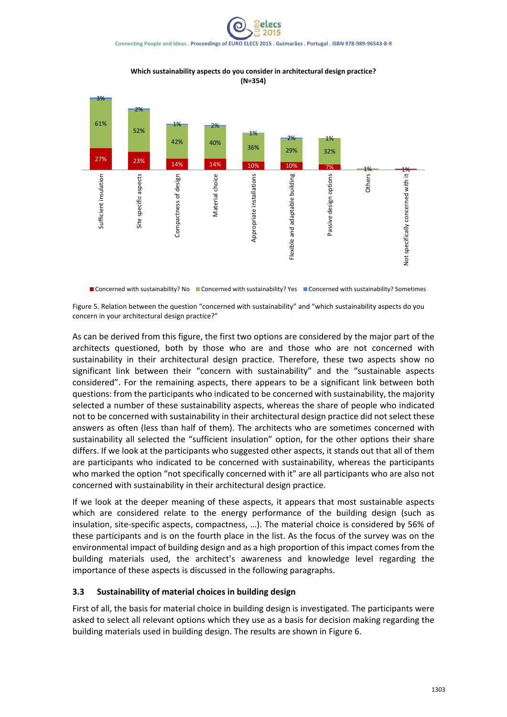elecs 2015 Connecting People and Ideas . Proceedings of EURO ELECS 2015 . Guimarães . Portugal . ISBN 978-989-96543-8-9



**Which sustainability aspects do you consider in architectural design practice? (N=354)**

■ Concerned with sustainability? No ■ Concerned with sustainability? Yes ■ Concerned with sustainability? Sometimes

Figure 5. Relation between the question "concerned with sustainability" and "which sustainability aspects do you concern in your architectural design practice?"

As can be derived from this figure, the first two options are considered by the major part of the architects questioned, both by those who are and those who are not concerned with sustainability in their architectural design practice. Therefore, these two aspects show no significant link between their "concern with sustainability" and the "sustainable aspects considered". For the remaining aspects, there appears to be a significant link between both questions: from the participants who indicated to be concerned with sustainability, the majority selected a number of these sustainability aspects, whereas the share of people who indicated not to be concerned with sustainability in their architectural design practice did not select these answers as often (less than half of them). The architects who are sometimes concerned with sustainability all selected the "sufficient insulation" option, for the other options their share differs. If we look at the participants who suggested other aspects, it stands out that all of them are participants who indicated to be concerned with sustainability, whereas the participants who marked the option "not specifically concerned with it" are all participants who are also not concerned with sustainability in their architectural design practice.

If we look at the deeper meaning of these aspects, it appears that most sustainable aspects which are considered relate to the energy performance of the building design (such as insulation, site‐specific aspects, compactness, …). The material choice is considered by 56% of these participants and is on the fourth place in the list. As the focus of the survey was on the environmental impact of building design and as a high proportion of this impact comes from the building materials used, the architect's awareness and knowledge level regarding the importance of these aspects is discussed in the following paragraphs.

### **3.3 Sustainability of material choices in building design**

First of all, the basis for material choice in building design is investigated. The participants were asked to select all relevant options which they use as a basis for decision making regarding the building materials used in building design. The results are shown in Figure 6.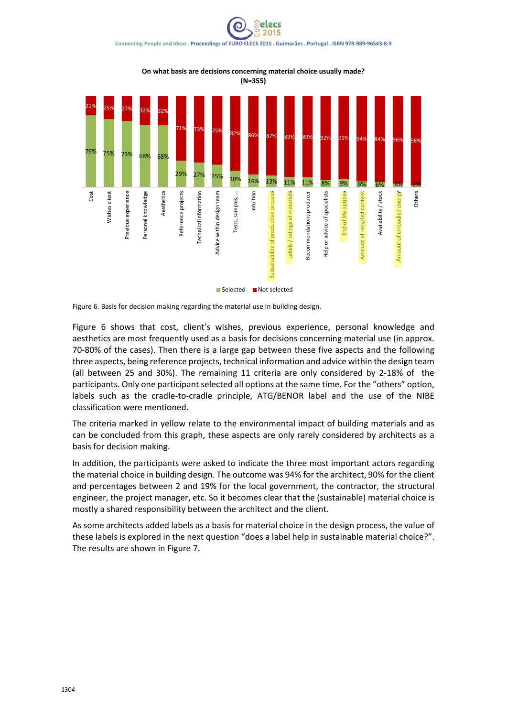### elecs Connecting People and Ideas . Proceedings of EURO ELECS 2015 . Guimarães . Portugal . ISBN 978-989-96543-8-9



**On what basis are decisions concerning material choice usually made? (N=355)**

Figure 6. Basis for decision making regarding the material use in building design.

Figure 6 shows that cost, client's wishes, previous experience, personal knowledge and aesthetics are most frequently used as a basis for decisions concerning material use (in approx. 70-80% of the cases). Then there is a large gap between these five aspects and the following three aspects, being reference projects, technical information and advice within the design team (all between 25 and 30%). The remaining 11 criteria are only considered by 2‐18% of the participants. Only one participant selected all options at the same time. For the "others" option, labels such as the cradle-to-cradle principle, ATG/BENOR label and the use of the NIBE classification were mentioned.

The criteria marked in yellow relate to the environmental impact of building materials and as can be concluded from this graph, these aspects are only rarely considered by architects as a basis for decision making.

In addition, the participants were asked to indicate the three most important actors regarding the material choice in building design. The outcome was 94% for the architect, 90% for the client and percentages between 2 and 19% for the local government, the contractor, the structural engineer, the project manager, etc. So it becomes clear that the (sustainable) material choice is mostly a shared responsibility between the architect and the client.

As some architects added labels as a basis for material choice in the design process, the value of these labels is explored in the next question "does a label help in sustainable material choice?". The results are shown in Figure 7.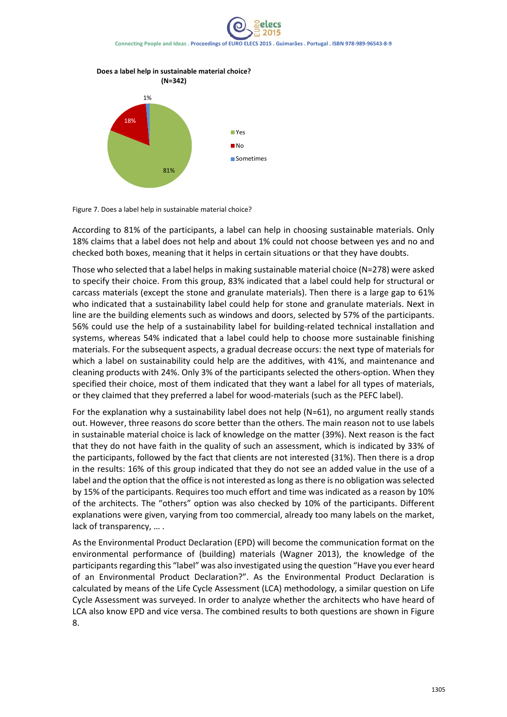**Does a label help in sustainable material choice?**



Figure 7. Does a label help in sustainable material choice?

According to 81% of the participants, a label can help in choosing sustainable materials. Only 18% claims that a label does not help and about 1% could not choose between yes and no and checked both boxes, meaning that it helps in certain situations or that they have doubts.

Those who selected that a label helps in making sustainable material choice (N=278) were asked to specify their choice. From this group, 83% indicated that a label could help for structural or carcass materials (except the stone and granulate materials). Then there is a large gap to 61% who indicated that a sustainability label could help for stone and granulate materials. Next in line are the building elements such as windows and doors, selected by 57% of the participants. 56% could use the help of a sustainability label for building-related technical installation and systems, whereas 54% indicated that a label could help to choose more sustainable finishing materials. For the subsequent aspects, a gradual decrease occurs: the next type of materials for which a label on sustainability could help are the additives, with 41%, and maintenance and cleaning products with 24%. Only 3% of the participants selected the others‐option. When they specified their choice, most of them indicated that they want a label for all types of materials, or they claimed that they preferred a label for wood‐materials (such as the PEFC label).

For the explanation why a sustainability label does not help (N=61), no argument really stands out. However, three reasons do score better than the others. The main reason not to use labels in sustainable material choice is lack of knowledge on the matter (39%). Next reason is the fact that they do not have faith in the quality of such an assessment, which is indicated by 33% of the participants, followed by the fact that clients are not interested (31%). Then there is a drop in the results: 16% of this group indicated that they do not see an added value in the use of a label and the option that the office is not interested as long as there is no obligation was selected by 15% of the participants. Requires too much effort and time was indicated as a reason by 10% of the architects. The "others" option was also checked by 10% of the participants. Different explanations were given, varying from too commercial, already too many labels on the market, lack of transparency, … .

As the Environmental Product Declaration (EPD) will become the communication format on the environmental performance of (building) materials (Wagner 2013), the knowledge of the participants regarding this "label" was also investigated using the question "Have you ever heard of an Environmental Product Declaration?". As the Environmental Product Declaration is calculated by means of the Life Cycle Assessment (LCA) methodology, a similar question on Life Cycle Assessment was surveyed. In order to analyze whether the architects who have heard of LCA also know EPD and vice versa. The combined results to both questions are shown in Figure 8.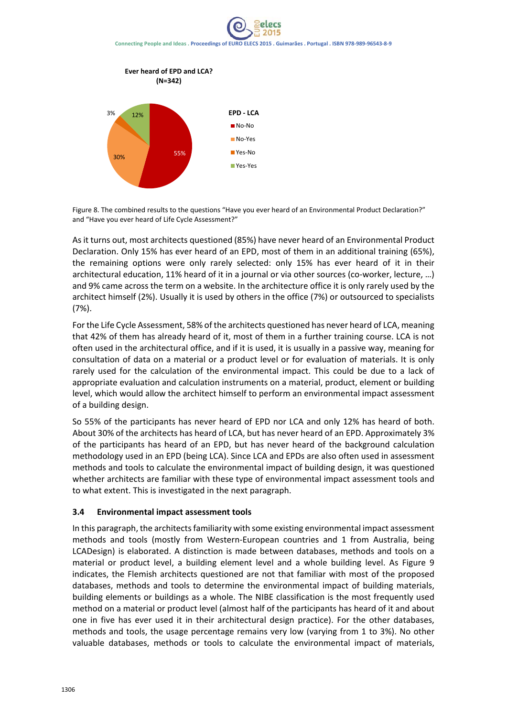

 Figure 8. The combined results to the questions "Have you ever heard of an Environmental Product Declaration?" and "Have you ever heard of Life Cycle Assessment?"

As it turns out, most architects questioned (85%) have never heard of an Environmental Product Declaration. Only 15% has ever heard of an EPD, most of them in an additional training (65%), the remaining options were only rarely selected: only 15% has ever heard of it in their architectural education, 11% heard of it in a journal or via other sources (co‐worker, lecture, …) and 9% came across the term on a website. In the architecture office it is only rarely used by the architect himself (2%). Usually it is used by others in the office (7%) or outsourced to specialists (7%).

Forthe Life Cycle Assessment, 58% of the architects questioned has never heard of LCA, meaning that 42% of them has already heard of it, most of them in a further training course. LCA is not often used in the architectural office, and if it is used, it is usually in a passive way, meaning for consultation of data on a material or a product level or for evaluation of materials. It is only rarely used for the calculation of the environmental impact. This could be due to a lack of appropriate evaluation and calculation instruments on a material, product, element or building level, which would allow the architect himself to perform an environmental impact assessment of a building design.

So 55% of the participants has never heard of EPD nor LCA and only 12% has heard of both. About 30% of the architects has heard of LCA, but has never heard of an EPD. Approximately 3% of the participants has heard of an EPD, but has never heard of the background calculation methodology used in an EPD (being LCA). Since LCA and EPDs are also often used in assessment methods and tools to calculate the environmental impact of building design, it was questioned whether architects are familiar with these type of environmental impact assessment tools and to what extent. This is investigated in the next paragraph.

### **3.4 Environmental impact assessment tools**

In this paragraph, the architects familiarity with some existing environmental impact assessment methods and tools (mostly from Western‐European countries and 1 from Australia, being LCADesign) is elaborated. A distinction is made between databases, methods and tools on a material or product level, a building element level and a whole building level. As Figure 9 indicates, the Flemish architects questioned are not that familiar with most of the proposed databases, methods and tools to determine the environmental impact of building materials, building elements or buildings as a whole. The NIBE classification is the most frequently used method on a material or product level (almost half of the participants has heard of it and about one in five has ever used it in their architectural design practice). For the other databases, methods and tools, the usage percentage remains very low (varying from 1 to 3%). No other valuable databases, methods or tools to calculate the environmental impact of materials,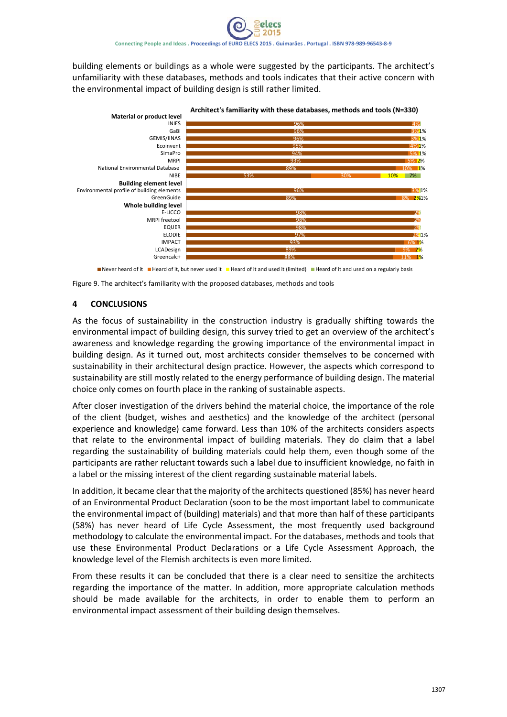building elements or buildings as a whole were suggested by the participants. The architect's unfamiliarity with these databases, methods and tools indicates that their active concern with the environmental impact of building design is still rather limited.



Never heard of it I Heard of it, but never used it I Heard of it and used it (limited) I Heard of it and used on a regularly basis

Figure 9. The architect's familiarity with the proposed databases, methods and tools

### **4 CONCLUSIONS**

As the focus of sustainability in the construction industry is gradually shifting towards the environmental impact of building design, this survey tried to get an overview of the architect's awareness and knowledge regarding the growing importance of the environmental impact in building design. As it turned out, most architects consider themselves to be concerned with sustainability in their architectural design practice. However, the aspects which correspond to sustainability are still mostly related to the energy performance of building design. The material choice only comes on fourth place in the ranking of sustainable aspects.

After closer investigation of the drivers behind the material choice, the importance of the role of the client (budget, wishes and aesthetics) and the knowledge of the architect (personal experience and knowledge) came forward. Less than 10% of the architects considers aspects that relate to the environmental impact of building materials. They do claim that a label regarding the sustainability of building materials could help them, even though some of the participants are rather reluctant towards such a label due to insufficient knowledge, no faith in a label or the missing interest of the client regarding sustainable material labels.

In addition, it became clear that the majority of the architects questioned (85%) has never heard of an Environmental Product Declaration (soon to be the most important label to communicate the environmental impact of (building) materials) and that more than half of these participants (58%) has never heard of Life Cycle Assessment, the most frequently used background methodology to calculate the environmental impact. For the databases, methods and tools that use these Environmental Product Declarations or a Life Cycle Assessment Approach, the knowledge level of the Flemish architects is even more limited.

From these results it can be concluded that there is a clear need to sensitize the architects regarding the importance of the matter. In addition, more appropriate calculation methods should be made available for the architects, in order to enable them to perform an environmental impact assessment of their building design themselves.